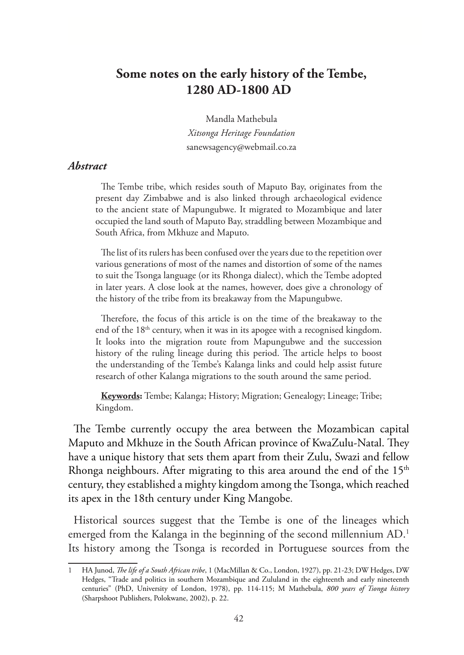## **Some notes on the early history of the Tembe, 1280 AD-1800 AD**

Mandla Mathebula *Xitsonga Heritage Foundation* sanewsagency@webmail.co.za

## *Abstract*

The Tembe tribe, which resides south of Maputo Bay, originates from the present day Zimbabwe and is also linked through archaeological evidence to the ancient state of Mapungubwe. It migrated to Mozambique and later occupied the land south of Maputo Bay, straddling between Mozambique and South Africa, from Mkhuze and Maputo.

The list of its rulers has been confused over the years due to the repetition over various generations of most of the names and distortion of some of the names to suit the Tsonga language (or its Rhonga dialect), which the Tembe adopted in later years. A close look at the names, however, does give a chronology of the history of the tribe from its breakaway from the Mapungubwe.

Therefore, the focus of this article is on the time of the breakaway to the end of the 18<sup>th</sup> century, when it was in its apogee with a recognised kingdom. It looks into the migration route from Mapungubwe and the succession history of the ruling lineage during this period. The article helps to boost the understanding of the Tembe's Kalanga links and could help assist future research of other Kalanga migrations to the south around the same period.

**Keywords:** Tembe; Kalanga; History; Migration; Genealogy; Lineage; Tribe; Kingdom.

The Tembe currently occupy the area between the Mozambican capital Maputo and Mkhuze in the South African province of KwaZulu-Natal. They have a unique history that sets them apart from their Zulu, Swazi and fellow Rhonga neighbours. After migrating to this area around the end of the  $15<sup>th</sup>$ century, they established a mighty kingdom among the Tsonga, which reached its apex in the 18th century under King Mangobe.

Historical sources suggest that the Tembe is one of the lineages which emerged from the Kalanga in the beginning of the second millennium AD.<sup>1</sup> Its history among the Tsonga is recorded in Portuguese sources from the

<sup>1</sup> HA Junod, *The life of a South African tribe*, 1 (MacMillan & Co., London, 1927), pp. 21-23; DW Hedges, DW Hedges, "Trade and politics in southern Mozambique and Zululand in the eighteenth and early nineteenth centuries" (PhD, University of London, 1978), pp. 114-115; M Mathebula, *800 years of Tsonga history* (Sharpshoot Publishers, Polokwane, 2002), p. 22.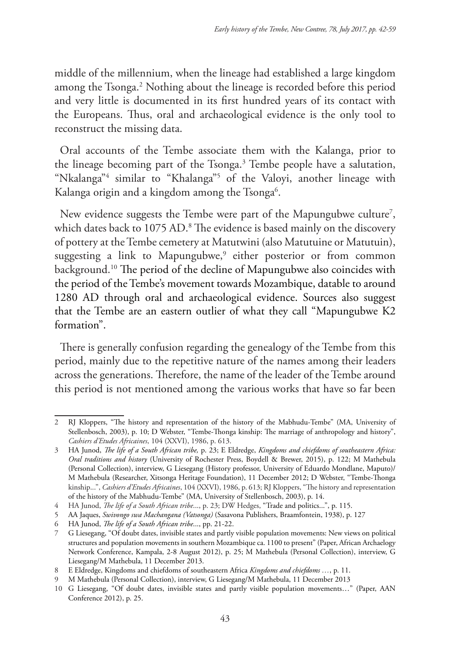middle of the millennium, when the lineage had established a large kingdom among the Tsonga.<sup>2</sup> Nothing about the lineage is recorded before this period and very little is documented in its first hundred years of its contact with the Europeans. Thus, oral and archaeological evidence is the only tool to reconstruct the missing data.

Oral accounts of the Tembe associate them with the Kalanga, prior to the lineage becoming part of the Tsonga.<sup>3</sup> Tembe people have a salutation, "Nkalanga"4 similar to "Khalanga"5 of the Valoyi, another lineage with Kalanga origin and a kingdom among the Tsonga<sup>6</sup>.

New evidence suggests the Tembe were part of the Mapungubwe culture7 , which dates back to 1075 AD.<sup>8</sup> The evidence is based mainly on the discovery of pottery at the Tembe cemetery at Matutwini (also Matutuine or Matutuin), suggesting a link to Mapungubwe,<sup>9</sup> either posterior or from common background.10 The period of the decline of Mapungubwe also coincides with the period of the Tembe's movement towards Mozambique, datable to around 1280 AD through oral and archaeological evidence. Sources also suggest that the Tembe are an eastern outlier of what they call "Mapungubwe K2 formation".

There is generally confusion regarding the genealogy of the Tembe from this period, mainly due to the repetitive nature of the names among their leaders across the generations. Therefore, the name of the leader of the Tembe around this period is not mentioned among the various works that have so far been

<sup>2</sup> RJ Kloppers, "The history and representation of the history of the Mabhudu-Tembe" (MA, University of Stellenbosch, 2003), p. 10; D Webster, "Tembe-Thonga kinship: The marriage of anthropology and history", *Cashiers d'Etudes Africaines*, 104 (XXVI), 1986, p. 613.

<sup>3</sup> HA Junod, *The life of a South African tribe,* p. 23; E Eldredge, *Kingdoms and chiefdoms of southeastern Africa: Oral traditions and history* (University of Rochester Press, Boydell & Brewer, 2015), p. 122; M Mathebula (Personal Collection), interview, G Liesegang (History professor, University of Eduardo Mondlane, Maputo)/ M Mathebula (Researcher, Xitsonga Heritage Foundation), 11 December 2012; D Webster, "Tembe-Thonga kinship...", *Cashiers d'Etudes Africaines*, 104 (XXVI), 1986, p. 613; RJ Kloppers, "The history and representation of the history of the Mabhudu-Tembe" (MA, University of Stellenbosch, 2003), p. 14.

<sup>4</sup> HA Junod, *The life of a South African tribe*..., p. 23; DW Hedges, "Trade and politics...", p. 115.

<sup>5</sup> AA Jaques, *Swivongo swa Machangana (Vatsonga)* (Sasavona Publishers, Braamfontein, 1938), p. 127

<sup>6</sup> HA Junod, *The life of a South African tribe*..., pp. 21-22.

<sup>7</sup> G Liesegang, "Of doubt dates, invisible states and partly visible population movements: New views on political structures and population movements in southern Mozambique ca. 1100 to present" (Paper, African Archaelogy Network Conference, Kampala, 2-8 August 2012), p. 25; M Mathebula (Personal Collection), interview, G Liesegang/M Mathebula, 11 December 2013.

<sup>8</sup> E Eldredge, Kingdoms and chiefdoms of southeastern Africa *Kingdoms and chiefdoms …*, p. 11.

<sup>9</sup> M Mathebula (Personal Collection), interview, G Liesegang/M Mathebula, 11 December 2013

<sup>10</sup> G Liesegang, "Of doubt dates, invisible states and partly visible population movements…" (Paper, AAN Conference 2012), p. 25.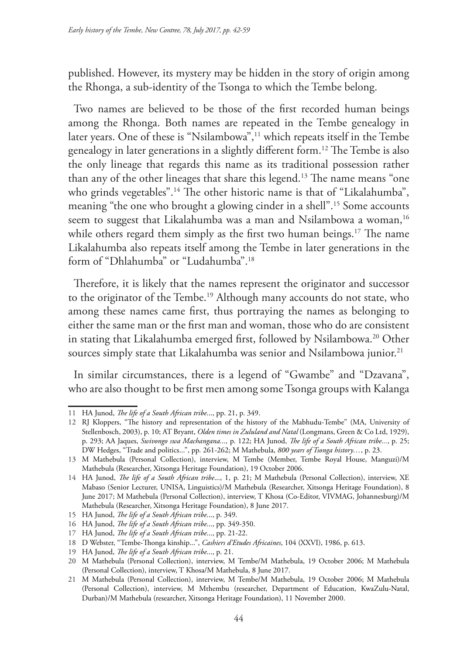published. However, its mystery may be hidden in the story of origin among the Rhonga, a sub-identity of the Tsonga to which the Tembe belong.

Two names are believed to be those of the first recorded human beings among the Rhonga. Both names are repeated in the Tembe genealogy in later years. One of these is "Nsilambowa",<sup>11</sup> which repeats itself in the Tembe genealogy in later generations in a slightly different form.12 The Tembe is also the only lineage that regards this name as its traditional possession rather than any of the other lineages that share this legend.13 The name means "one who grinds vegetables".<sup>14</sup> The other historic name is that of "Likalahumba", meaning "the one who brought a glowing cinder in a shell".15 Some accounts seem to suggest that Likalahumba was a man and Nsilambowa a woman,<sup>16</sup> while others regard them simply as the first two human beings.<sup>17</sup> The name Likalahumba also repeats itself among the Tembe in later generations in the form of "Dhlahumba" or "Ludahumba".18

Therefore, it is likely that the names represent the originator and successor to the originator of the Tembe.<sup>19</sup> Although many accounts do not state, who among these names came first, thus portraying the names as belonging to either the same man or the first man and woman, those who do are consistent in stating that Likalahumba emerged first, followed by Nsilambowa.<sup>20</sup> Other sources simply state that Likalahumba was senior and Nsilambowa junior.<sup>21</sup>

In similar circumstances, there is a legend of "Gwambe" and "Dzavana", who are also thought to be first men among some Tsonga groups with Kalanga

<sup>11</sup> HA Junod, *The life of a South African tribe*..., pp. 21, p. 349.

<sup>12</sup> RJ Kloppers, "The history and representation of the history of the Mabhudu-Tembe" (MA, University of Stellenbosch, 2003), p. 10; AT Bryant, *Olden times in Zululand and Natal* (Longmans, Green & Co Ltd, 1929), p. 293; AA Jaques, *Swivongo swa Machangana...,* p. 122; HA Junod, *The life of a South African tribe...*, p. 25; DW Hedges, "Trade and politics...", pp. 261-262; M Mathebula, *800 years of Tsonga history…*, p. 23.

<sup>13</sup> M Mathebula (Personal Collection), interview, M Tembe (Member, Tembe Royal House, Manguzi)/M Mathebula (Researcher, Xitsonga Heritage Foundation), 19 October 2006.

<sup>14</sup> HA Junod, *The life of a South African tribe*..., 1, p. 21; M Mathebula (Personal Collection), interview, XE Mabaso (Senior Lecturer, UNISA, Linguistics)/M Mathebula (Researcher, Xitsonga Heritage Foundation), 8 June 2017; M Mathebula (Personal Collection), interview, T Khosa (Co-Editor, VIVMAG, Johannesburg)/M Mathebula (Researcher, Xitsonga Heritage Foundation), 8 June 2017.

<sup>15</sup> HA Junod, *The life of a South African tribe*..., p. 349.

<sup>16</sup> HA Junod, *The life of a South African tribe*..., pp. 349-350.

<sup>17</sup> HA Junod, *The life of a South African tribe*..., pp. 21-22.

<sup>18</sup> D Webster, "Tembe-Thonga kinship...", *Cashiers d'Etudes Africaines*, 104 (XXVI), 1986, p. 613.

<sup>19</sup> HA Junod, *The life of a South African tribe*..., p. 21.

<sup>20</sup> M Mathebula (Personal Collection), interview, M Tembe/M Mathebula, 19 October 2006; M Mathebula (Personal Collection), interview, T Khosa/M Mathebula, 8 June 2017.

<sup>21</sup> M Mathebula (Personal Collection), interview, M Tembe/M Mathebula, 19 October 2006; M Mathebula (Personal Collection), interview, M Mthembu (researcher, Department of Education, KwaZulu-Natal, Durban)/M Mathebula (researcher, Xitsonga Heritage Foundation), 11 November 2000.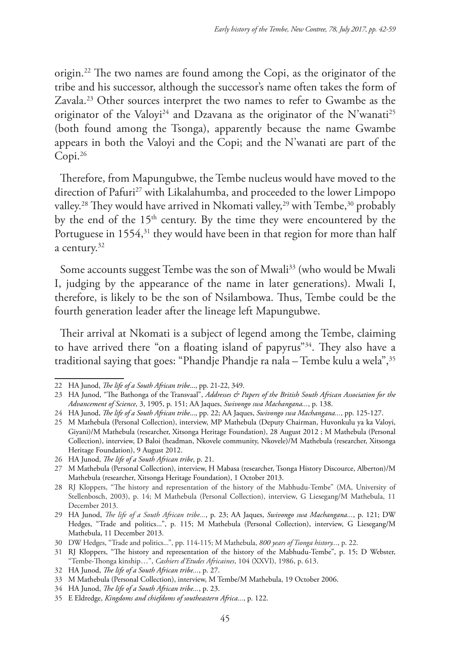origin.22 The two names are found among the Copi, as the originator of the tribe and his successor, although the successor's name often takes the form of Zavala.<sup>23</sup> Other sources interpret the two names to refer to Gwambe as the originator of the Valoyi<sup>24</sup> and Dzavana as the originator of the N'wanati<sup>25</sup> (both found among the Tsonga), apparently because the name Gwambe appears in both the Valoyi and the Copi; and the N'wanati are part of the Copi.26

Therefore, from Mapungubwe, the Tembe nucleus would have moved to the direction of Pafuri<sup>27</sup> with Likalahumba, and proceeded to the lower Limpopo valley.<sup>28</sup> They would have arrived in Nkomati valley,<sup>29</sup> with Tembe,<sup>30</sup> probably by the end of the 15<sup>th</sup> century. By the time they were encountered by the Portuguese in 1554,<sup>31</sup> they would have been in that region for more than half a century.32

Some accounts suggest Tembe was the son of Mwali<sup>33</sup> (who would be Mwali I, judging by the appearance of the name in later generations). Mwali I, therefore, is likely to be the son of Nsilambowa. Thus, Tembe could be the fourth generation leader after the lineage left Mapungubwe.

Their arrival at Nkomati is a subject of legend among the Tembe, claiming to have arrived there "on a floating island of papyrus"34. They also have a traditional saying that goes: "Phandje Phandje ra nala – Tembe kulu a wela",35

<sup>22</sup> HA Junod, *The life of a South African tribe*..., pp. 21-22, 349.

<sup>23</sup> HA Junod, "The Bathonga of the Transvaal", *Addresses & Papers of the British South African Association for the Advancement of Science*, 3, 1905, p. 151; AA Jaques, *Swivongo swa Machangana...*, p. 138.

<sup>24</sup> HA Junod, *The life of a South African tribe*..., pp. 22; AA Jaques, *Swivongo swa Machangana...*, pp. 125-127.

<sup>25</sup> M Mathebula (Personal Collection), interview, MP Mathebula (Deputy Chairman, Huvonkulu ya ka Valoyi, Giyani)/M Mathebula (researcher, Xitsonga Heritage Foundation), 28 August 2012 ; M Mathebula (Personal Collection), interview, D Baloi (headman, Nkovele community, Nkovele)/M Mathebula (researcher, Xitsonga Heritage Foundation), 9 August 2012.

<sup>26</sup> HA Junod, *The life of a South African tribe*, p. 21.

<sup>27</sup> M Mathebula (Personal Collection), interview, H Mabasa (researcher, Tsonga History Discource, Alberton)/M Mathebula (researcher, Xitsonga Heritage Foundation), 1 October 2013.

<sup>28</sup> RJ Kloppers, "The history and representation of the history of the Mabhudu-Tembe" (MA, University of Stellenbosch, 2003), p. 14; M Mathebula (Personal Collection), interview, G Liesegang/M Mathebula, 11 December 2013.

<sup>29</sup> HA Junod, *The life of a South African tribe...*, p. 23; AA Jaques, *Swivongo swa Machangana...*, p. 121; DW Hedges, "Trade and politics...", p. 115; M Mathebula (Personal Collection), interview, G Liesegang/M Mathebula, 11 December 2013.

<sup>30</sup> DW Hedges, "Trade and politics...", pp. 114-115; M Mathebula, *800 years of Tsonga history...*, p. 22.

<sup>31</sup> RJ Kloppers, "The history and representation of the history of the Mabhudu-Tembe", p. 15; D Webster, "Tembe-Thonga kinship…", *Cashiers d'Etudes Africaines*, 104 (XXVI), 1986, p. 613.

<sup>32</sup> HA Junod, *The life of a South African tribe...*, p. 27.

<sup>33</sup> M Mathebula (Personal Collection), interview, M Tembe/M Mathebula, 19 October 2006.

<sup>34</sup> HA Junod, *The life of a South African tribe...*, p. 23.

<sup>35</sup> E Eldredge, *Kingdoms and chiefdoms of southeastern Africa...*, p. 122.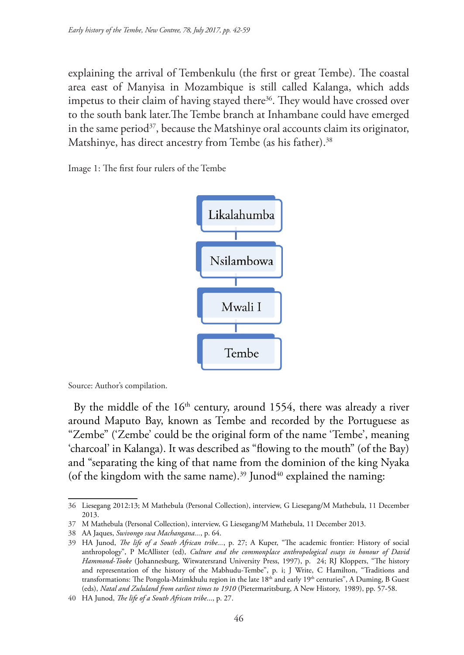explaining the arrival of Tembenkulu (the first or great Tembe). The coastal area east of Manyisa in Mozambique is still called Kalanga, which adds impetus to their claim of having stayed there<sup>36</sup>. They would have crossed over to the south bank later.The Tembe branch at Inhambane could have emerged in the same period<sup>37</sup>, because the Matshinye oral accounts claim its originator, Matshinye, has direct ancestry from Tembe (as his father).<sup>38</sup>

Image 1: The first four rulers of the Tembe



Source: Author's compilation.

By the middle of the  $16<sup>th</sup>$  century, around 1554, there was already a river around Maputo Bay, known as Tembe and recorded by the Portuguese as "Zembe" ('Zembe' could be the original form of the name 'Tembe', meaning 'charcoal' in Kalanga). It was described as "flowing to the mouth" (of the Bay) and "separating the king of that name from the dominion of the king Nyaka (of the kingdom with the same name).<sup>39</sup> Junod<sup>40</sup> explained the naming:

<sup>36</sup> Liesegang 2012:13; M Mathebula (Personal Collection), interview, G Liesegang/M Mathebula, 11 December 2013.

<sup>37</sup> M Mathebula (Personal Collection), interview, G Liesegang/M Mathebula, 11 December 2013.

<sup>38</sup> AA Jaques, *Swivongo swa Machangana...*, p. 64.

<sup>39</sup> HA Junod, *The life of a South African tribe...*, p. 27; A Kuper, "The academic frontier: History of social anthropology", P McAllister (ed), *Culture and the commonplace anthropological essays in honour of David Hammond-Tooke* (Johannesburg, Witwatersrand University Press, 1997), p. 24; RJ Kloppers, "The history and representation of the history of the Mabhudu-Tembe", p. i; J Write, C Hamilton, "Traditions and transformations: The Pongola-Mzimkhulu region in the late 18<sup>th</sup> and early 19<sup>th</sup> centuries", A Duming, B Guest (eds), *Natal and Zululand from earliest times to 1910* (Pietermaritsburg, A New History, 1989), pp. 57-58.

<sup>40</sup> HA Junod, *The life of a South African tribe*..., p. 27.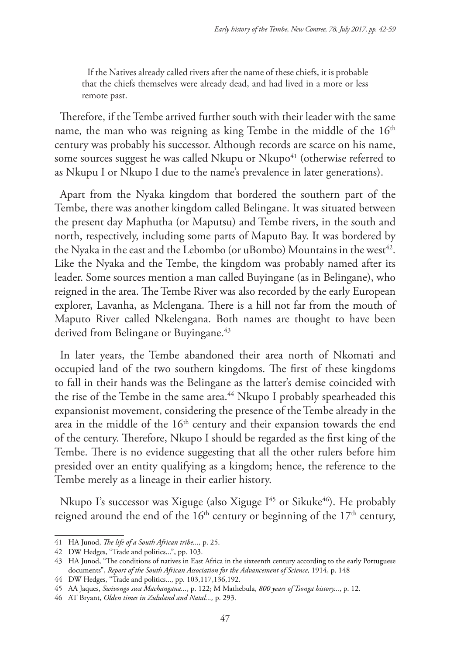If the Natives already called rivers after the name of these chiefs, it is probable that the chiefs themselves were already dead, and had lived in a more or less remote past.

Therefore, if the Tembe arrived further south with their leader with the same name, the man who was reigning as king Tembe in the middle of the 16<sup>th</sup> century was probably his successor. Although records are scarce on his name, some sources suggest he was called Nkupu or Nkupo<sup>41</sup> (otherwise referred to as Nkupu I or Nkupo I due to the name's prevalence in later generations).

Apart from the Nyaka kingdom that bordered the southern part of the Tembe, there was another kingdom called Belingane. It was situated between the present day Maphutha (or Maputsu) and Tembe rivers, in the south and north, respectively, including some parts of Maputo Bay. It was bordered by the Nyaka in the east and the Lebombo (or uBombo) Mountains in the west<sup>42</sup>. Like the Nyaka and the Tembe, the kingdom was probably named after its leader. Some sources mention a man called Buyingane (as in Belingane), who reigned in the area. The Tembe River was also recorded by the early European explorer, Lavanha, as Mclengana. There is a hill not far from the mouth of Maputo River called Nkelengana. Both names are thought to have been derived from Belingane or Buyingane.<sup>43</sup>

In later years, the Tembe abandoned their area north of Nkomati and occupied land of the two southern kingdoms. The first of these kingdoms to fall in their hands was the Belingane as the latter's demise coincided with the rise of the Tembe in the same area.<sup>44</sup> Nkupo I probably spearheaded this expansionist movement, considering the presence of the Tembe already in the area in the middle of the  $16<sup>th</sup>$  century and their expansion towards the end of the century. Therefore, Nkupo I should be regarded as the first king of the Tembe. There is no evidence suggesting that all the other rulers before him presided over an entity qualifying as a kingdom; hence, the reference to the Tembe merely as a lineage in their earlier history.

Nkupo I's successor was Xiguge (also Xiguge I<sup>45</sup> or Sikuke<sup>46</sup>). He probably reigned around the end of the  $16<sup>th</sup>$  century or beginning of the  $17<sup>th</sup>$  century,

<sup>41</sup> HA Junod, *The life of a South African tribe...,* p. 25.

<sup>42</sup> DW Hedges, "Trade and politics...", pp. 103.

<sup>43</sup> HA Junod, "The conditions of natives in East Africa in the sixteenth century according to the early Portuguese documents", *Report of the South African Association for the Advancement of Science,* 1914, p. 148

<sup>44</sup> DW Hedges, "Trade and politics..., pp. 103,117,136,192.

<sup>45</sup> AA Jaques, *Swivongo swa Machangana...*, p. 122; M Mathebula, *800 years of Tsonga history...*, p. 12.

<sup>46</sup> AT Bryant, *Olden times in Zululand and Natal...,* p. 293.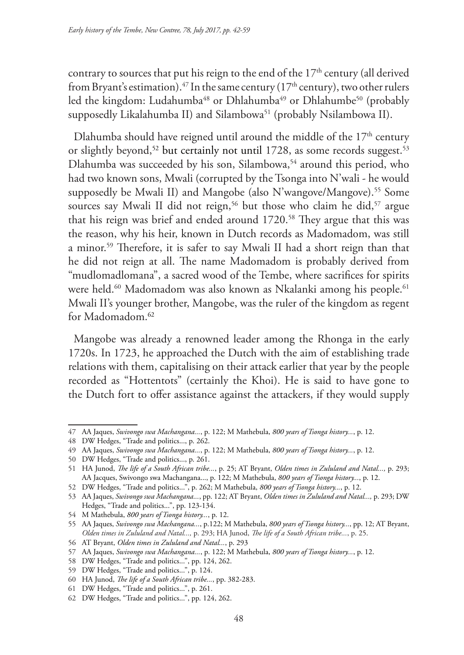contrary to sources that put his reign to the end of the  $17<sup>th</sup>$  century (all derived from Bryant's estimation).<sup>47</sup> In the same century ( $17<sup>th</sup>$  century), two other rulers led the kingdom: Ludahumba<sup>48</sup> or Dhlahumba<sup>49</sup> or Dhlahumbe<sup>50</sup> (probably supposedly Likalahumba II) and Silambowa<sup>51</sup> (probably Nsilambowa II).

Dlahumba should have reigned until around the middle of the  $17<sup>th</sup>$  century or slightly beyond,<sup>52</sup> but certainly not until 1728, as some records suggest.<sup>53</sup> Dlahumba was succeeded by his son, Silambowa,<sup>54</sup> around this period, who had two known sons, Mwali (corrupted by the Tsonga into N'wali - he would supposedly be Mwali II) and Mangobe (also N'wangove/Mangove).<sup>55</sup> Some sources say Mwali II did not reign,<sup>56</sup> but those who claim he did,<sup>57</sup> argue that his reign was brief and ended around 1720.<sup>58</sup> They argue that this was the reason, why his heir, known in Dutch records as Madomadom, was still a minor.59 Therefore, it is safer to say Mwali II had a short reign than that he did not reign at all. The name Madomadom is probably derived from "mudlomadlomana", a sacred wood of the Tembe, where sacrifices for spirits were held.<sup>60</sup> Madomadom was also known as Nkalanki among his people.<sup>61</sup> Mwali II's younger brother, Mangobe, was the ruler of the kingdom as regent for Madomadom.<sup>62</sup>

Mangobe was already a renowned leader among the Rhonga in the early 1720s. In 1723, he approached the Dutch with the aim of establishing trade relations with them, capitalising on their attack earlier that year by the people recorded as "Hottentots" (certainly the Khoi). He is said to have gone to the Dutch fort to offer assistance against the attackers, if they would supply

<sup>47</sup> AA Jaques, *Swivongo swa Machangana...*, p. 122; M Mathebula, *800 years of Tsonga history...*, p. 12.

<sup>48</sup> DW Hedges, "Trade and politics..., p. 262.

<sup>49</sup> AA Jaques, *Swivongo swa Machangana...*, p. 122; M Mathebula, *800 years of Tsonga history...*, p. 12.

<sup>50</sup> DW Hedges, "Trade and politics..., p. 261.

<sup>51</sup> HA Junod, *The life of a South African tribe...*, p. 25; AT Bryant, *Olden times in Zululand and Natal...,* p. 293; AA Jacques, Swivongo swa Machangana..., p. 122; M Mathebula, *800 years of Tsonga history...*, p. 12.

<sup>52</sup> DW Hedges, "Trade and politics...", p. 262; M Mathebula, *800 years of Tsonga history...*, p. 12.

<sup>53</sup> AA Jaques, *Swivongo swa Machangana...*, pp. 122; AT Bryant, *Olden times in Zululand and Natal...,* p. 293; DW Hedges, "Trade and politics...", pp. 123-134.

<sup>54</sup> M Mathebula, *800 years of Tsonga history...*, p. 12.

<sup>55</sup> AA Jaques, *Swivongo swa Machangana...*, p.122; M Mathebula, *800 years of Tsonga history...*, pp. 12; AT Bryant, *Olden times in Zululand and Natal...,* p. 293; HA Junod, *The life of a South African tribe...*, p. 25.

<sup>56</sup> AT Bryant, *Olden times in Zululand and Natal...*, p. 293

<sup>57</sup> AA Jaques, *Swivongo swa Machangana...*, p. 122; M Mathebula, *800 years of Tsonga history...*, p. 12.

<sup>58</sup> DW Hedges, "Trade and politics...", pp. 124, 262.

<sup>59</sup> DW Hedges, "Trade and politics...", p. 124.

<sup>60</sup> HA Junod, *The life of a South African tribe...*, pp. 382-283.

<sup>61</sup> DW Hedges, "Trade and politics...", p. 261.

<sup>62</sup> DW Hedges, "Trade and politics...", pp. 124, 262.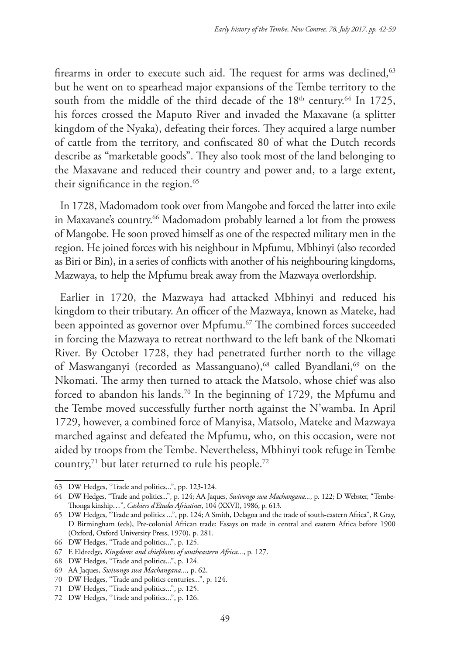firearms in order to execute such aid. The request for arms was declined,<sup>63</sup> but he went on to spearhead major expansions of the Tembe territory to the south from the middle of the third decade of the  $18<sup>th</sup>$  century.<sup>64</sup> In 1725, his forces crossed the Maputo River and invaded the Maxavane (a splitter kingdom of the Nyaka), defeating their forces. They acquired a large number of cattle from the territory, and confiscated 80 of what the Dutch records describe as "marketable goods". They also took most of the land belonging to the Maxavane and reduced their country and power and, to a large extent, their significance in the region.<sup>65</sup>

In 1728, Madomadom took over from Mangobe and forced the latter into exile in Maxavane's country.<sup>66</sup> Madomadom probably learned a lot from the prowess of Mangobe. He soon proved himself as one of the respected military men in the region. He joined forces with his neighbour in Mpfumu, Mbhinyi (also recorded as Biri or Bin), in a series of conflicts with another of his neighbouring kingdoms, Mazwaya, to help the Mpfumu break away from the Mazwaya overlordship.

Earlier in 1720, the Mazwaya had attacked Mbhinyi and reduced his kingdom to their tributary. An officer of the Mazwaya, known as Mateke, had been appointed as governor over Mpfumu.<sup>67</sup> The combined forces succeeded in forcing the Mazwaya to retreat northward to the left bank of the Nkomati River. By October 1728, they had penetrated further north to the village of Maswanganyi (recorded as Massanguano),<sup>68</sup> called Byandlani,<sup>69</sup> on the Nkomati. The army then turned to attack the Matsolo, whose chief was also forced to abandon his lands.<sup>70</sup> In the beginning of 1729, the Mpfumu and the Tembe moved successfully further north against the N'wamba. In April 1729, however, a combined force of Manyisa, Matsolo, Mateke and Mazwaya marched against and defeated the Mpfumu, who, on this occasion, were not aided by troops from the Tembe. Nevertheless, Mbhinyi took refuge in Tembe country, $71$  but later returned to rule his people. $72$ 

<sup>63</sup> DW Hedges, "Trade and politics...", pp. 123-124.

<sup>64</sup> DW Hedges, "Trade and politics...", p. 124; AA Jaques, *Swivongo swa Machangana...*, p. 122; D Webster, "Tembe-Thonga kinship…", *Cashiers d'Etudes Africaines*, 104 (XXVI), 1986, p. 613.

<sup>65</sup> DW Hedges, "Trade and politics ...", pp. 124; A Smith, Delagoa and the trade of south-eastern Africa", R Gray, D Birmingham (eds), Pre-colonial African trade: Essays on trade in central and eastern Africa before 1900 (Oxford, Oxford University Press, 1970), p. 281.

<sup>66</sup> DW Hedges, "Trade and politics...", p. 125.

<sup>67</sup> E Eldredge, *Kingdoms and chiefdoms of southeastern Africa...*, p. 127.

<sup>68</sup> DW Hedges, "Trade and politics...", p. 124.

<sup>69</sup> AA Jaques, *Swivongo swa Machangana...,* p. 62.

<sup>70</sup> DW Hedges, "Trade and politics centuries...", p. 124.

<sup>71</sup> DW Hedges, "Trade and politics...", p. 125.

<sup>72</sup> DW Hedges, "Trade and politics...", p. 126.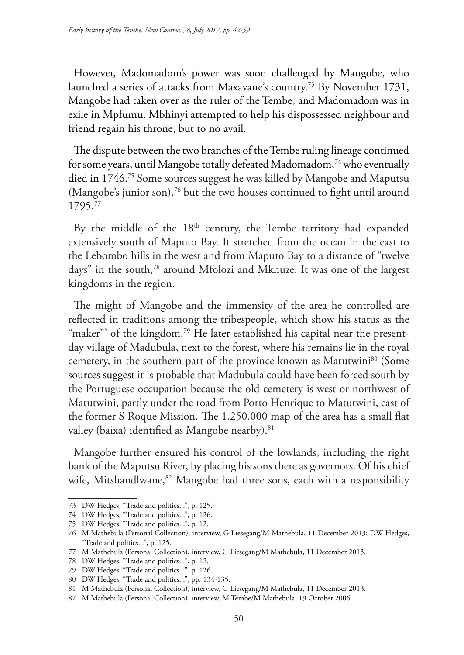However, Madomadom's power was soon challenged by Mangobe, who launched a series of attacks from Maxavane's country.73 By November 1731, Mangobe had taken over as the ruler of the Tembe, and Madomadom was in exile in Mpfumu. Mbhinyi attempted to help his dispossessed neighbour and friend regain his throne, but to no avail.

The dispute between the two branches of the Tembe ruling lineage continued for some years, until Mangobe totally defeated Madomadom,<sup>74</sup> who eventually died in 1746.75 Some sources suggest he was killed by Mangobe and Maputsu (Mangobe's junior son),<sup>76</sup> but the two houses continued to fight until around 1795.77

By the middle of the  $18<sup>th</sup>$  century, the Tembe territory had expanded extensively south of Maputo Bay. It stretched from the ocean in the east to the Lebombo hills in the west and from Maputo Bay to a distance of "twelve days" in the south,<sup>78</sup> around Mfolozi and Mkhuze. It was one of the largest kingdoms in the region.

The might of Mangobe and the immensity of the area he controlled are reflected in traditions among the tribespeople, which show his status as the "maker"' of the kingdom.<sup>79</sup> He later established his capital near the presentday village of Madubula, next to the forest, where his remains lie in the royal cemetery, in the southern part of the province known as Matutwini<sup>80</sup> (Some sources suggest it is probable that Madubula could have been forced south by the Portuguese occupation because the old cemetery is west or northwest of Matutwini, partly under the road from Porto Henrique to Matutwini, east of the former S Roque Mission. The 1.250.000 map of the area has a small flat valley (baixa) identified as Mangobe nearby).<sup>81</sup>

Mangobe further ensured his control of the lowlands, including the right bank of the Maputsu River, by placing his sons there as governors. Of his chief wife, Mitshandlwane,<sup>82</sup> Mangobe had three sons, each with a responsibility

<sup>73</sup> DW Hedges, "Trade and politics...", p. 125.

<sup>74</sup> DW Hedges, "Trade and politics...", p. 126.

<sup>75</sup> DW Hedges, "Trade and politics...", p. 12.

<sup>76</sup> M Mathebula (Personal Collection), interview, G Liesegang/M Mathebula, 11 December 2013; DW Hedges, "Trade and politics...", p. 125.

<sup>77</sup> M Mathebula (Personal Collection), interview, G Liesegang/M Mathebula, 11 December 2013.

<sup>78</sup> DW Hedges, "Trade and politics...", p. 12.

<sup>79</sup> DW Hedges, "Trade and politics...", p. 126.

<sup>80</sup> DW Hedges, "Trade and politics...", pp. 134-135.

<sup>81</sup> M Mathebula (Personal Collection), interview, G Liesegang/M Mathebula, 11 December 2013.

<sup>82</sup> M Mathebula (Personal Collection), interview, M Tembe/M Mathebula, 19 October 2006.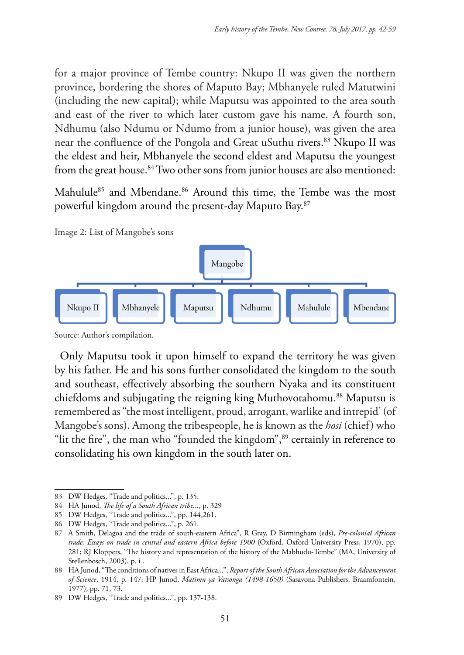for a major province of Tembe country: Nkupo II was given the northern province, bordering the shores of Maputo Bay; Mbhanyele ruled Matutwini (including the new capital); while Maputsu was appointed to the area south and east of the river to which later custom gave his name. A fourth son, Ndhumu (also Ndumu or Ndumo from a junior house), was given the area near the confluence of the Pongola and Great uSuthu rivers.83 Nkupo II was the eldest and heir, Mbhanyele the second eldest and Maputsu the youngest from the great house.<sup>84</sup> Two other sons from junior houses are also mentioned:

Mahulule<sup>85</sup> and Mbendane.<sup>86</sup> Around this time, the Tembe was the most powerful kingdom around the present-day Maputo Bay.87

Image 2: List of Mangobe's sons



Source: Author's compilation.

Only Maputsu took it upon himself to expand the territory he was given by his father. He and his sons further consolidated the kingdom to the south and southeast, effectively absorbing the southern Nyaka and its constituent chiefdoms and subjugating the reigning king Muthovotahomu.88 Maputsu is remembered as "the most intelligent, proud, arrogant, warlike and intrepid' (of Mangobe's sons). Among the tribespeople, he is known as the *hosi* (chief) who "lit the fire", the man who "founded the kingdom",<sup>89</sup> certainly in reference to consolidating his own kingdom in the south later on.

<sup>83</sup> DW Hedges, "Trade and politics...", p. 135.

<sup>84</sup> HA Junod, *The life of a South African tribe...*, p. 329

<sup>85</sup> DW Hedges, "Trade and politics...", pp. 144,261.

<sup>86</sup> DW Hedges, "Trade and politics...", p. 261.

<sup>87</sup> A Smith, Delagoa and the trade of south-eastern Africa", R Gray, D Birmingham (eds), *Pre-colonial African trade: Essays on trade in central and eastern Africa before 1900* (Oxford, Oxford University Press, 1970), pp. 281; RJ Kloppers, "The history and representation of the history of the Mabhudu-Tembe" (MA, University of Stellenbosch, 2003), p. i .

<sup>88</sup> HA Junod, "The conditions of natives in East Africa...", *Report of the South African Association for the Advancement of Science*, 1914, p. 147; HP Junod, *Matimu ya Vatsonga (1498-1650)* (Sasavona Publishers, Braamfontein, 1977), pp. 71, 73.

<sup>89</sup> DW Hedges, "Trade and politics...", pp. 137-138.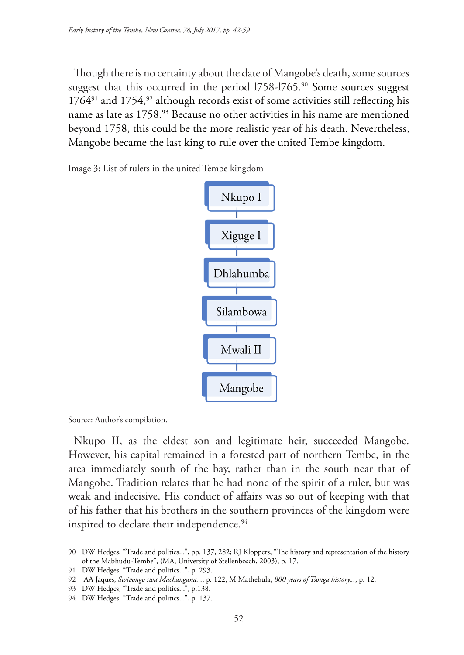Though there is no certainty about the date of Mangobe's death, some sources suggest that this occurred in the period 1758-1765.<sup>90</sup> Some sources suggest  $1764<sup>91</sup>$  and  $1754<sup>92</sup>$  although records exist of some activities still reflecting his name as late as 1758.<sup>93</sup> Because no other activities in his name are mentioned beyond 1758, this could be the more realistic year of his death. Nevertheless, Mangobe became the last king to rule over the united Tembe kingdom.

Image 3: List of rulers in the united Tembe kingdom



Source: Author's compilation.

Nkupo II, as the eldest son and legitimate heir, succeeded Mangobe. However, his capital remained in a forested part of northern Tembe, in the area immediately south of the bay, rather than in the south near that of Mangobe. Tradition relates that he had none of the spirit of a ruler, but was weak and indecisive. His conduct of affairs was so out of keeping with that of his father that his brothers in the southern provinces of the kingdom were inspired to declare their independence.<sup>94</sup>

<sup>90</sup> DW Hedges, "Trade and politics...", pp. 137, 282; RJ Kloppers, "The history and representation of the history of the Mabhudu-Tembe", (MA, University of Stellenbosch, 2003), p. 17.

<sup>91</sup> DW Hedges, "Trade and politics...", p. 293.

<sup>92</sup> AA Jaques, *Swivongo swa Machangana...*, p. 122; M Mathebula, *800 years of Tsonga history...*, p. 12.

<sup>93</sup> DW Hedges, "Trade and politics...", p.138.

<sup>94</sup> DW Hedges, "Trade and politics...", p. 137.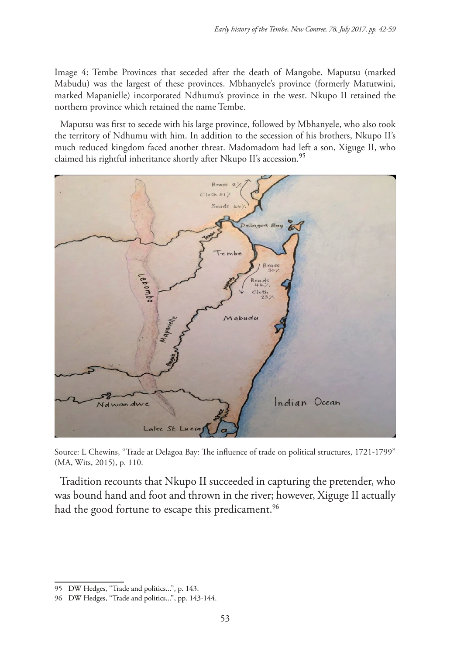Image 4: Tembe Provinces that seceded after the death of Mangobe. Maputsu (marked Mabudu) was the largest of these provinces. Mbhanyele's province (formerly Matutwini, marked Mapanielle) incorporated Ndhumu's province in the west. Nkupo II retained the northern province which retained the name Tembe.

Maputsu was first to secede with his large province, followed by Mbhanyele, who also took the territory of Ndhumu with him. In addition to the secession of his brothers, Nkupo II's much reduced kingdom faced another threat. Madomadom had left a son, Xiguge II, who claimed his rightful inheritance shortly after Nkupo II's accession.<sup>95</sup>



Source: L Chewins, "Trade at Delagoa Bay: The influence of trade on political structures, 1721-1799" (MA, Wits, 2015), p. 110.

Tradition recounts that Nkupo II succeeded in capturing the pretender, who was bound hand and foot and thrown in the river; however, Xiguge II actually had the good fortune to escape this predicament.<sup>96</sup>

<sup>95</sup> DW Hedges, "Trade and politics...", p. 143.

<sup>96</sup> DW Hedges, "Trade and politics...", pp. 143-144.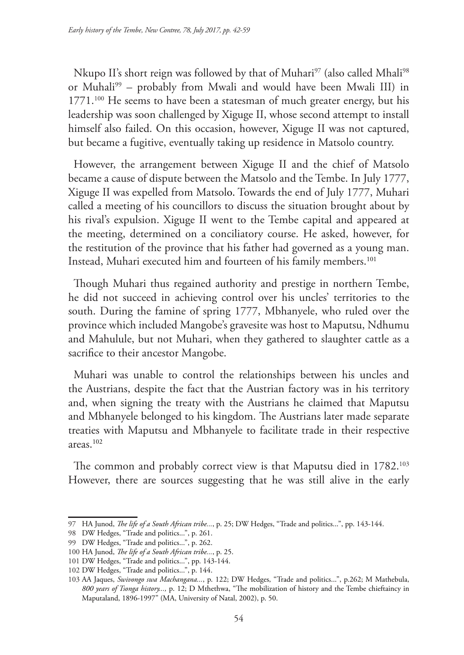Nkupo II's short reign was followed by that of Muhari<sup>97</sup> (also called Mhali<sup>98</sup>) or Muhali<sup>99</sup> – probably from Mwali and would have been Mwali III) in 1771.<sup>100</sup> He seems to have been a statesman of much greater energy, but his leadership was soon challenged by Xiguge II, whose second attempt to install himself also failed. On this occasion, however, Xiguge II was not captured, but became a fugitive, eventually taking up residence in Matsolo country.

However, the arrangement between Xiguge II and the chief of Matsolo became a cause of dispute between the Matsolo and the Tembe. In July 1777, Xiguge II was expelled from Matsolo. Towards the end of July 1777, Muhari called a meeting of his councillors to discuss the situation brought about by his rival's expulsion. Xiguge II went to the Tembe capital and appeared at the meeting, determined on a conciliatory course. He asked, however, for the restitution of the province that his father had governed as a young man. Instead, Muhari executed him and fourteen of his family members.101

Though Muhari thus regained authority and prestige in northern Tembe, he did not succeed in achieving control over his uncles' territories to the south. During the famine of spring 1777, Mbhanyele, who ruled over the province which included Mangobe's gravesite was host to Maputsu, Ndhumu and Mahulule, but not Muhari, when they gathered to slaughter cattle as a sacrifice to their ancestor Mangobe.

Muhari was unable to control the relationships between his uncles and the Austrians, despite the fact that the Austrian factory was in his territory and, when signing the treaty with the Austrians he claimed that Maputsu and Mbhanyele belonged to his kingdom. The Austrians later made separate treaties with Maputsu and Mbhanyele to facilitate trade in their respective areas.102

The common and probably correct view is that Maputsu died in 1782.<sup>103</sup> However, there are sources suggesting that he was still alive in the early

<sup>97</sup> HA Junod, *The life of a South African tribe...*, p. 25; DW Hedges, "Trade and politics...", pp. 143-144.

<sup>98</sup> DW Hedges, "Trade and politics...", p. 261.

<sup>99</sup> DW Hedges, "Trade and politics...", p. 262.

<sup>100</sup> HA Junod, *The life of a South African tribe...*, p. 25.

<sup>101</sup> DW Hedges, "Trade and politics...", pp. 143-144.

<sup>102</sup> DW Hedges, "Trade and politics...", p. 144.

<sup>103</sup> AA Jaques, *Swivongo swa Machangana...*, p. 122; DW Hedges, "Trade and politics...", p.262; M Mathebula, *800 years of Tsonga history...,* p. 12; D Mthethwa, "The mobilization of history and the Tembe chieftaincy in Maputaland, 1896-1997" (MA, University of Natal, 2002), p. 50.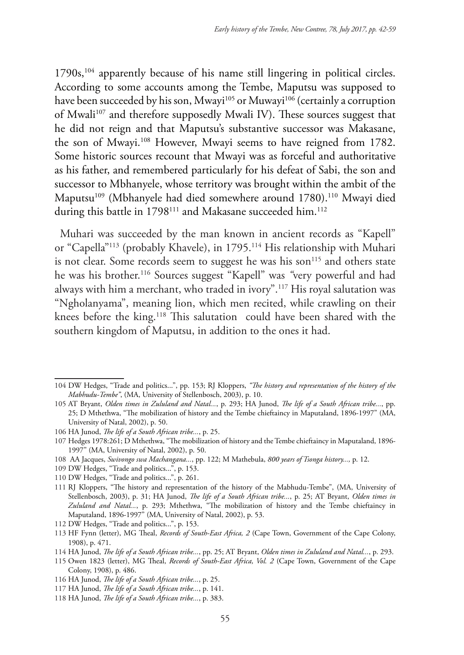1790s,104 apparently because of his name still lingering in political circles. According to some accounts among the Tembe, Maputsu was supposed to have been succeeded by his son, Mwayi<sup>105</sup> or Muwayi<sup>106</sup> (certainly a corruption of Mwali<sup>107</sup> and therefore supposedly Mwali IV). These sources suggest that he did not reign and that Maputsu's substantive successor was Makasane, the son of Mwayi.108 However, Mwayi seems to have reigned from 1782. Some historic sources recount that Mwayi was as forceful and authoritative as his father, and remembered particularly for his defeat of Sabi, the son and successor to Mbhanyele, whose territory was brought within the ambit of the Maputsu<sup>109</sup> (Mbhanyele had died somewhere around 1780).<sup>110</sup> Mwayi died during this battle in 1798<sup>111</sup> and Makasane succeeded him.<sup>112</sup>

Muhari was succeeded by the man known in ancient records as "Kapell" or "Capella"<sup>113</sup> (probably Khavele), in 1795.<sup>114</sup> His relationship with Muhari is not clear. Some records seem to suggest he was his son<sup>115</sup> and others state he was his brother.116 Sources suggest "Kapell" was *"*very powerful and had always with him a merchant, who traded in ivory".117 His royal salutation was "Ngholanyama", meaning lion, which men recited, while crawling on their knees before the king.<sup>118</sup> This salutation could have been shared with the southern kingdom of Maputsu, in addition to the ones it had.

- 109 DW Hedges, "Trade and politics...", p. 153.
- 110 DW Hedges, "Trade and politics...", p. 261.

<sup>104</sup> DW Hedges, "Trade and politics...", pp. 153; RJ Kloppers, *"The history and representation of the history of the Mabhudu-Tembe"*, (MA, University of Stellenbosch, 2003), p. 10.

<sup>105</sup> AT Bryant, *Olden times in Zululand and Natal...*, p. 293; HA Junod, *The life of a South African tribe...*, pp. 25; D Mthethwa, "The mobilization of history and the Tembe chieftaincy in Maputaland, 1896-1997" (MA, University of Natal, 2002), p. 50.

<sup>106</sup> HA Junod, *The life of a South African tribe...*, p. 25.

<sup>107</sup> Hedges 1978:261; D Mthethwa, "The mobilization of history and the Tembe chieftaincy in Maputaland, 1896- 1997" (MA, University of Natal, 2002), p. 50.

<sup>108</sup> AA Jacques, *Swivongo swa Machangana...*, pp. 122; M Mathebula, *800 years of Tsonga history...,* p. 12.

<sup>111</sup> RJ Kloppers, "The history and representation of the history of the Mabhudu-Tembe", (MA, University of Stellenbosch, 2003), p. 31; HA Junod, *The life of a South African tribe...*, p. 25; AT Bryant, *Olden times in Zululand and Natal...*, p. 293; Mthethwa, "The mobilization of history and the Tembe chieftaincy in Maputaland, 1896-1997" (MA, University of Natal, 2002), p. 53.

<sup>112</sup> DW Hedges, "Trade and politics...", p. 153.

<sup>113</sup> HF Fynn (letter), MG Theal, *Records of South-East Africa, 2* (Cape Town, Government of the Cape Colony, 1908), p. 471.

<sup>114</sup> HA Junod, *The life of a South African tribe...*, pp. 25; AT Bryant, *Olden times in Zululand and Natal...*, p. 293.

<sup>115</sup> Owen 1823 (letter), MG Theal, *Records of South-East Africa, Vol. 2* (Cape Town, Government of the Cape Colony, 1908), p. 486.

<sup>116</sup> HA Junod, *The life of a South African tribe...*, p. 25.

<sup>117</sup> HA Junod, *The life of a South African tribe...*, p. 141.

<sup>118</sup> HA Junod, *The life of a South African tribe...*, p. 383.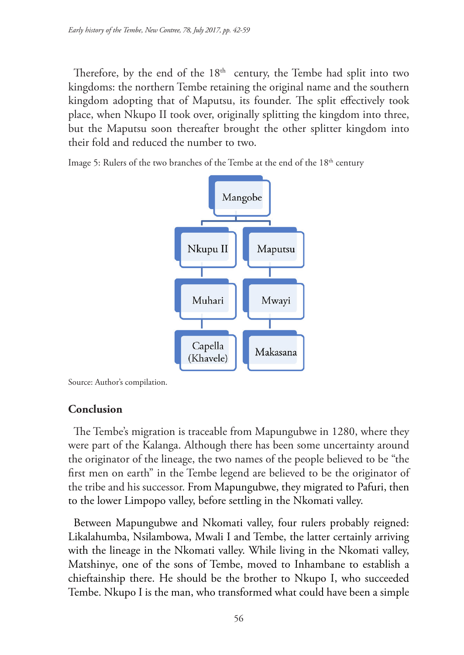Therefore, by the end of the  $18<sup>th</sup>$  century, the Tembe had split into two kingdoms: the northern Tembe retaining the original name and the southern kingdom adopting that of Maputsu, its founder. The split effectively took place, when Nkupo II took over, originally splitting the kingdom into three, but the Maputsu soon thereafter brought the other splitter kingdom into their fold and reduced the number to two.

Image 5: Rulers of the two branches of the Tembe at the end of the 18<sup>th</sup> century



Source: Author's compilation.

## **Conclusion**

The Tembe's migration is traceable from Mapungubwe in 1280, where they were part of the Kalanga. Although there has been some uncertainty around the originator of the lineage, the two names of the people believed to be "the first men on earth" in the Tembe legend are believed to be the originator of the tribe and his successor. From Mapungubwe, they migrated to Pafuri, then to the lower Limpopo valley, before settling in the Nkomati valley.

Between Mapungubwe and Nkomati valley, four rulers probably reigned: Likalahumba, Nsilambowa, Mwali I and Tembe, the latter certainly arriving with the lineage in the Nkomati valley. While living in the Nkomati valley, Matshinye, one of the sons of Tembe, moved to Inhambane to establish a chieftainship there. He should be the brother to Nkupo I, who succeeded Tembe. Nkupo I is the man, who transformed what could have been a simple